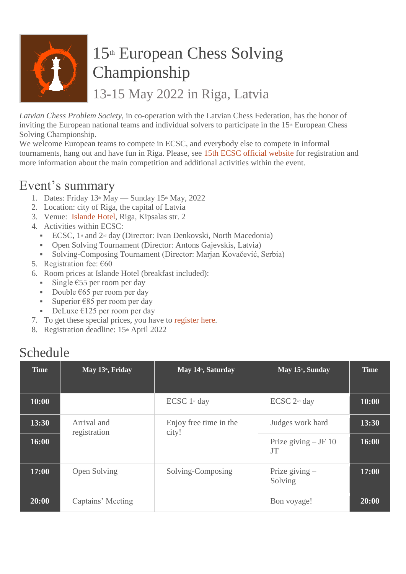

# 15<sup>th</sup> European Chess Solving Championship

13-15 May 2022 in Riga, Latvia

*Latvian Chess Problem Society*, in co-operation with the Latvian Chess Federation, has the honor of inviting the European national teams and individual solvers to participate in the  $15<sup>th</sup>$  European Chess Solving Championship.

We welcome European teams to compete in ECSC, and everybody else to compete in informal tournaments, hang out and have fun in Riga. Please, see 15th ECSC official [website](https://ecsc2022.wfcc.ch/) for registration and more information about the main competition and additional activities within the event.

### Event's summary

- 1. Dates: Friday  $13<sup>th</sup>$  May Sunday  $15<sup>th</sup>$  May, 2022
- 2. Location: city of Riga, the capital of Latvia
- 3. Venue: [Islande](https://islandehotel.lv/) Hotel, Riga, Kipsalas str. 2
- 4. Activities within ECSC:
	- ECSC,  $1$ <sup>st</sup> and  $2$ <sup>nd</sup> day (Director: Ivan Denkovski, North Macedonia)
	- Open Solving Tournament (Director: Antons Gajevskis, Latvia)
	- Solving-Composing Tournament (Director: Marjan Kovačević, Serbia)
- 5. Registration fee: €60
- 6. Room prices at Islande Hotel (breakfast included):
	- Single  $\epsilon$ 55 per room per day
	- Double  $\epsilon$ 65 per room per day
	- Superior  $€85$  per room per day
	- DeLuxe  $\epsilon$ 125 per room per day
- 7. To get these special prices, you have to [register](https://ecsc2022.wfcc.ch/participants/registration-ecsc2022/) here.
- 8. Registration deadline: 15<sup>th</sup> April 2022

#### Schedule

| <b>Time</b> | May 13 <sup>th</sup> , Friday                          | May 14 <sup>th</sup> , Saturday   | May 15 <sup>th</sup> , Sunday    | <b>Time</b> |
|-------------|--------------------------------------------------------|-----------------------------------|----------------------------------|-------------|
| 10:00       |                                                        | $\text{ECSC}$ 1 <sup>st</sup> day | ECSC 2 <sup>nd</sup> day         | 10:00       |
| 13:30       | Arrival and<br>registration                            | Enjoy free time in the<br>city!   | Judges work hard                 | 13:30       |
| 16:00       |                                                        |                                   | Prize giving $-F10$<br><b>JT</b> | 16:00       |
| 17:00       | Solving-Composing<br>Open Solving<br>Captains' Meeting |                                   | Prize giving $-$<br>Solving      | 17:00       |
| 20:00       |                                                        |                                   | Bon voyage!                      | 20:00       |